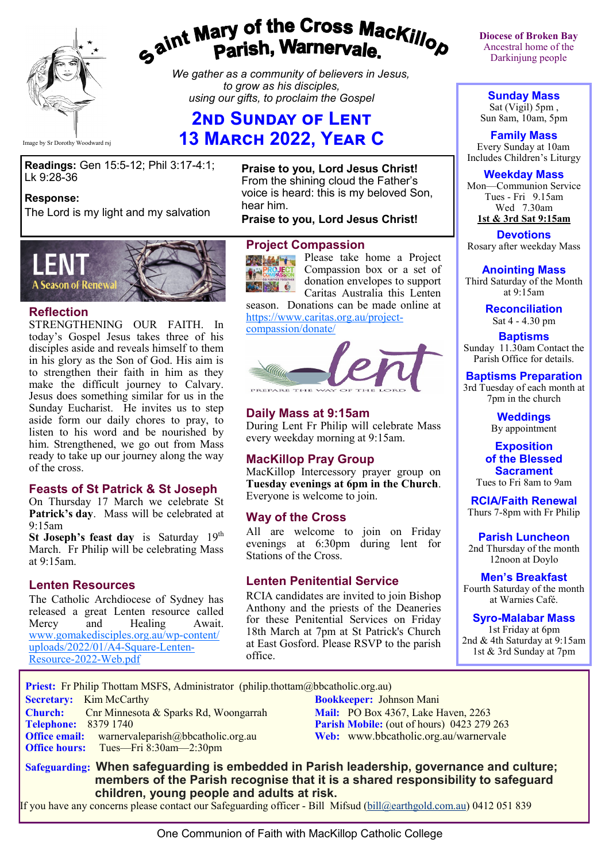

# gaint Mary of the Cross Mackillop<br>g<sup>aint</sup> Parish, Warnervale.

*We gather as a community of believers in Jesus, to grow as his disciples, using our gifts, to proclaim the Gospel*

# **2nd Sunday of Lent 13 March 2022, Year C**

Image by Sr Dorothy Woodward rsj

**Readings:** Gen 15:5-12; Phil 3:17-4:1; Lk 9:28-36

#### **Response:**

The Lord is my light and my salvation



#### **Reflection**

STRENGTHENING OUR FAITH. In today's Gospel Jesus takes three of his disciples aside and reveals himself to them in his glory as the Son of God. His aim is to strengthen their faith in him as they make the difficult journey to Calvary. Jesus does something similar for us in the Sunday Eucharist. He invites us to step aside form our daily chores to pray, to listen to his word and be nourished by him. Strengthened, we go out from Mass ready to take up our journey along the way of the cross.

#### **Feasts of St Patrick & St Joseph**

On Thursday 17 March we celebrate St **Patrick's day**. Mass will be celebrated at 9:15am

**St Joseph's feast day** is Saturday 19th March. Fr Philip will be celebrating Mass at 9:15am.

#### **Lenten Resources**

The Catholic Archdiocese of Sydney has released a great Lenten resource called Mercy and Healing Await. [www.gomakedisciples.org.au/wp](http://www.gomakedisciples.org.au/wp-content/uploads/2022/01/A4-Square-Lenten-Resource-2022-Web.pdf)-content/ [uploads/2022/01/A4](http://www.gomakedisciples.org.au/wp-content/uploads/2022/01/A4-Square-Lenten-Resource-2022-Web.pdf)-Square-Lenten-[Resource](http://www.gomakedisciples.org.au/wp-content/uploads/2022/01/A4-Square-Lenten-Resource-2022-Web.pdf)-2022-Web.pdf

**Praise to you, Lord Jesus Christ!**  From the shining cloud the Father's voice is heard: this is my beloved Son, hear him.

**Praise to you, Lord Jesus Christ!**

#### **Project Compassion**

**THE PROJECT** O NEW O

Please take home a Project Compassion box or a set of donation envelopes to support Caritas Australia this Lenten

season. Donations can be made online at [https://www.caritas.org.au/project](https://www.caritas.org.au/project-compassion/donate/)[compassion/donate/](https://www.caritas.org.au/project-compassion/donate/)



#### **Daily Mass at 9:15am**

During Lent Fr Philip will celebrate Mass every weekday morning at 9:15am.

### **MacKillop Pray Group**

MacKillop Intercessory prayer group on **Tuesday evenings at 6pm in the Church**. Everyone is welcome to join.

#### **Way of the Cross**

All are welcome to join on Friday evenings at 6:30pm during lent for Stations of the Cross.

#### **Lenten Penitential Service**

RCIA candidates are invited to join Bishop Anthony and the priests of the Deaneries for these Penitential Services on Friday 18th March at 7pm at St Patrick's Church at East Gosford. Please RSVP to the parish office.

**Diocese of Broken Bay**  Ancestral home of the Darkinjung people

**Sunday Mass** Sat (Vigil) 5pm , Sun 8am, 10am, 5pm

**Family Mass**  Every Sunday at 10am Includes Children's Liturgy

**Weekday Mass** Mon—Communion Service Tues - Fri 9.15am Wed 7.30am **1st & 3rd Sat 9:15am**

**Devotions** Rosary after weekday Mass

**Anointing Mass**

Third Saturday of the Month at 9:15am

**Reconciliation** Sat 4 - 4.30 pm

**Baptisms** Sunday 11.30am Contact the Parish Office for details.

#### **Baptisms Preparation**

3rd Tuesday of each month at 7pm in the church

> **Weddings**  By appointment

#### **Exposition of the Blessed Sacrament**

Tues to Fri 8am to 9am

**RCIA/Faith Renewal**  Thurs 7-8pm with Fr Philip

**Parish Luncheon** 2nd Thursday of the month 12noon at Doylo

**Men's Breakfast** Fourth Saturday of the month at Warnies Café.

**Syro-Malabar Mass**

1st Friday at 6pm 2nd & 4th Saturday at 9:15am 1st & 3rd Sunday at 7pm

 **Priest:** Fr Philip Thottam MSFS, Administrator (philip.thottam@bbcatholic.org.au)

**Secretary:** Kim McCarthy **Bookkeeper:** Johnson Mani **Church:** Cnr Minnesota & Sparks Rd, Woongarrah **Mail: PO Box 4367, Lake Haven, 2263**<br> **Parish Mobile:** (out of hours) 0423 279 **Office email:** warnervaleparish@bbcatholic.org.au **Office hours:** Tues—Fri 8:30am—2:30pm

**Parish Mobile:** (out of hours) 0423 279 263<br>Web: www.bbcatholic.org.au/warnervale

 **Safeguarding: When safeguarding is embedded in Parish leadership, governance and culture; members of the Parish recognise that it is a shared responsibility to safeguard children, young people and adults at risk.**

If you have any concerns please contact our Safeguarding officer - Bill Mifsud ([bill@earthgold.com.au\)](mailto:bill@earthgold.com.au) 0412 051 839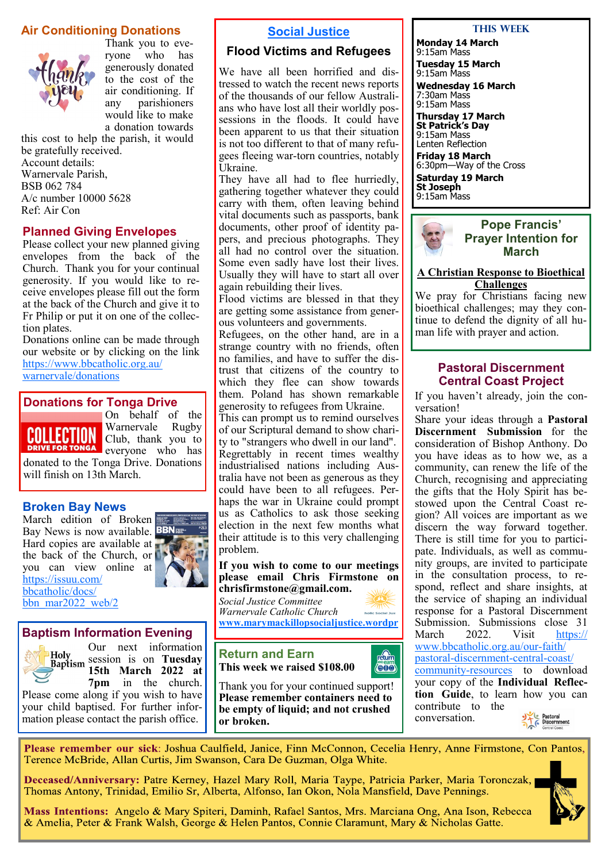## **Air Conditioning Donations**



Thank you to everyone who has who has generously donated to the cost of the air conditioning. If any parishioners would like to make a donation towards

this cost to help the parish, it would be gratefully received. Account details: Warnervale Parish, BSB 062 784 A/c number 10000 5628 Ref: Air Con

#### **Planned Giving Envelopes**

Please collect your new planned giving envelopes from the back of the Church. Thank you for your continual generosity. If you would like to receive envelopes please fill out the form at the back of the Church and give it to Fr Philip or put it on one of the collection plates.

Donations online can be made through our website or by clicking on the link [https://www.bbcatholic.org.au/](https://www.bbcatholic.org.au/warnervale/donations) [warnervale/donations](https://www.bbcatholic.org.au/warnervale/donations)

#### **Donations for Tonga Drive**



On behalf of the Warnervale Rugby Club, thank you to **WE FOR TONGA** everyone who has

donated to the Tonga Drive. Donations will finish on 13th March.

#### **Broken Bay News**

March edition of Broken Bay News is now available. **BBN** Hard copies are available at the back of the Church, or  $\mathbb{R}^n$ you can view online at [https://issuu.com/](https://issuu.com/bbcatholic/docs/bbn_mar2022_web/2) [bbcatholic/docs/](https://issuu.com/bbcatholic/docs/bbn_mar2022_web/2) [bbn\\_mar2022\\_web/2](https://issuu.com/bbcatholic/docs/bbn_mar2022_web/2)



#### **Baptism Information Evening**

Our next information session is on **Tuesday**  Holy **15th March 2022 at 7pm** in the church. Please come along if you wish to have your child baptised. For further information please contact the parish office.

#### **Social Justice**

#### **Flood Victims and Refugees**

We have all been horrified and distressed to watch the recent news reports of the thousands of our fellow Australians who have lost all their worldly possessions in the floods. It could have been apparent to us that their situation is not too different to that of many refugees fleeing war-torn countries, notably Ukraine.

They have all had to flee hurriedly, gathering together whatever they could carry with them, often leaving behind vital documents such as passports, bank documents, other proof of identity papers, and precious photographs. They all had no control over the situation. Some even sadly have lost their lives. Usually they will have to start all over again rebuilding their lives.

Flood victims are blessed in that they are getting some assistance from generous volunteers and governments.

Refugees, on the other hand, are in a strange country with no friends, often no families, and have to suffer the distrust that citizens of the country to which they flee can show towards them. Poland has shown remarkable generosity to refugees from Ukraine.

This can prompt us to remind ourselves of our Scriptural demand to show charity to "strangers who dwell in our land". Regrettably in recent times wealthy industrialised nations including Australia have not been as generous as they could have been to all refugees. Perhaps the war in Ukraine could prompt us as Catholics to ask those seeking election in the next few months what their attitude is to this very challenging problem.

#### **If you wish to come to our meetings please email Chris Firmstone on chrisfirmstone@gmail.com.**

*Social Justice Committee Warnervale Catholic Church*  olic Social Jus **[www.marymackillopsocialjustice.wordpr](http://www.marymackillopsocialjustice.wordpress.com)**

return

**OOO** 

**Return and Earn This week we raised \$108.00**

Thank you for your continued support! **Please remember containers need to be empty of liquid; and not crushed or broken.** 

#### **This Week**

**Monday 14 March** 9:15am Mass

**Tuesday 15 March** 9:15am Mass

**Wednesday 16 March** 7:30am Mass 9:15am Mass

**Thursday 17 March St Patrick's Day** 9:15am Mass Lenten Reflection

**Friday 18 March**  6:30pm—Way of the Cross **Saturday 19 March St Joseph** 9:15am Mass



#### **Pope Francis' Prayer Intention for March**

**A Christian Response to Bioethical Challenges**

We pray for Christians facing new bioethical challenges; may they continue to defend the dignity of all human life with prayer and action.

#### **Pastoral Discernment Central Coast Project**

If you haven't already, join the conversation!

Share your ideas through a **Pastoral Discernment Submission** for the consideration of Bishop Anthony. Do you have ideas as to how we, as a community, can renew the life of the Church, recognising and appreciating the gifts that the Holy Spirit has bestowed upon the Central Coast region? All voices are important as we discern the way forward together. There is still time for you to participate. Individuals, as well as community groups, are invited to participate in the consultation process, to respond, reflect and share insights, at the service of shaping an individual response for a Pastoral Discernment Submission. Submissions close 31 March 2022. Visit  $\frac{h}{100}$ [https://](https://www.bbcatholic.org.au/our-faith/pastoral-discernment-central-coast/community-resources) [www.bbcatholic.org.au/our](https://www.bbcatholic.org.au/our-faith/pastoral-discernment-central-coast/community-resources)-faith/ pastoral-[discernment](https://www.bbcatholic.org.au/our-faith/pastoral-discernment-central-coast/community-resources)-central-coast/ [community](https://www.bbcatholic.org.au/our-faith/pastoral-discernment-central-coast/community-resources)-resources to download your copy of the **Individual Reflection Guide**, to learn how you can contribute to the conversation.



Please remember our sick: Joshua Caulfield, Janice, Finn McConnon, Cecelia Henry, Anne Firmstone, Con Pantos, Terence McBride, Allan Curtis, Jim Swanson, Cara De Guzman, Olga White.

Deceased/Anniversary: Patre Kerney, Hazel Mary Roll, Maria Taype, Patricia Parker, Maria Toronczak, Thomas Antony, Trinidad, Emilio Sr, Alberta, Alfonso, Ian Okon, Nola Mansfield, Dave Pennings.

Mass Intentions: Angelo & Mary Spiteri, Daminh, Rafael Santos, Mrs. Marciana Ong, Ana Ison, Rebecca & Amelia, Peter & Frank Walsh, George & Helen Pantos, Connie Claramunt, Mary & Nicholas Gatte.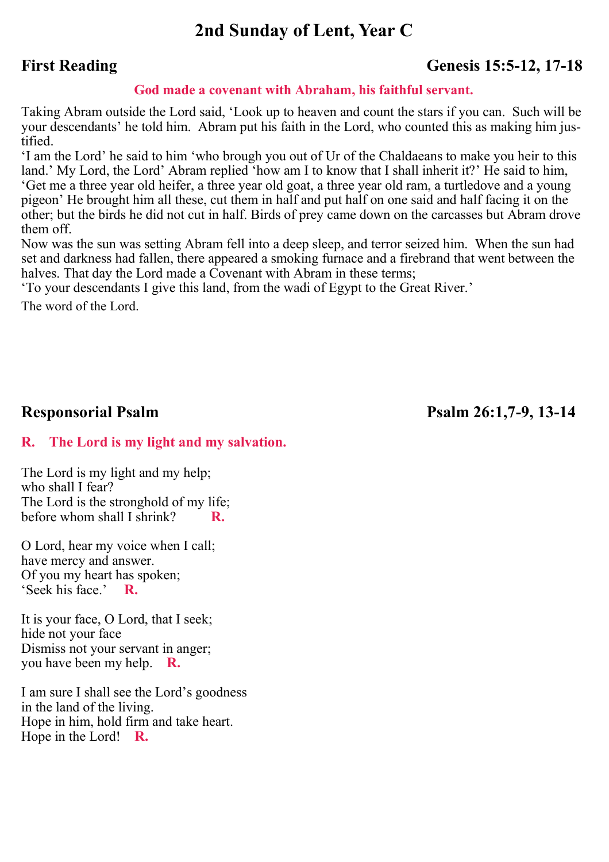# **2nd Sunday of Lent, Year C**

# **First Reading Genesis 15:5-12, 17-18**

## **God made a covenant with Abraham, his faithful servant.**

Taking Abram outside the Lord said, 'Look up to heaven and count the stars if you can. Such will be your descendants' he told him. Abram put his faith in the Lord, who counted this as making him justified.

'I am the Lord' he said to him 'who brough you out of Ur of the Chaldaeans to make you heir to this land.' My Lord, the Lord' Abram replied 'how am I to know that I shall inherit it?' He said to him, 'Get me a three year old heifer, a three year old goat, a three year old ram, a turtledove and a young pigeon' He brought him all these, cut them in half and put half on one said and half facing it on the other; but the birds he did not cut in half. Birds of prey came down on the carcasses but Abram drove them off.

Now was the sun was setting Abram fell into a deep sleep, and terror seized him. When the sun had set and darkness had fallen, there appeared a smoking furnace and a firebrand that went between the halves. That day the Lord made a Covenant with Abram in these terms;

'To your descendants I give this land, from the wadi of Egypt to the Great River.'

The word of the Lord.

**Responsorial Psalm Psalm 26:1,7-9, 13-14**

## **R. The Lord is my light and my salvation.**

The Lord is my light and my help; who shall I fear? The Lord is the stronghold of my life; before whom shall I shrink? **R.**

O Lord, hear my voice when I call; have mercy and answer. Of you my heart has spoken; 'Seek his face.' **R.**

It is your face, O Lord, that I seek; hide not your face Dismiss not your servant in anger; you have been my help. **R.**

I am sure I shall see the Lord's goodness in the land of the living. Hope in him, hold firm and take heart. Hope in the Lord! **R.**